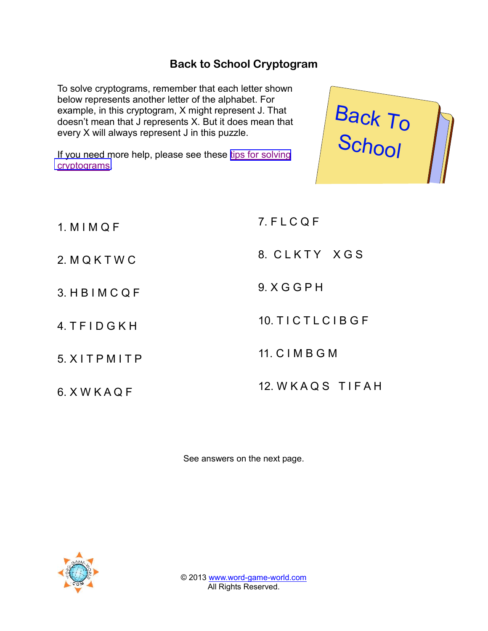## Back to SchCorg/ptogram

To solvey ptograms, remember that each  $\leftarrow$  that shown below represents another letter of the a example, in this cryptogram, X might re doesn t mean that J represents X. But  $\mathfrak f$ every XI waiways represent J in this puz If you need more helpthes besiepesse for each vi [cryptogr](http://www.word-game-world.com/solving-cryptograms.html)ams . Back School

1. M I M Q F 2. M Q K T W C 3. H B I M C Q F 4. T FD IG K H 5. X I T P M I T P 6. X W K A Q F 7. F L C Q F 8. C L K T Y X G S 9. X G G P H 10. T I C T L C I B G F 11. C I M B G M 12. W K A Q S T I F A H

See answers on the next page.

© 201M3ww.wegradm-evorld.com All RisghRteserved.